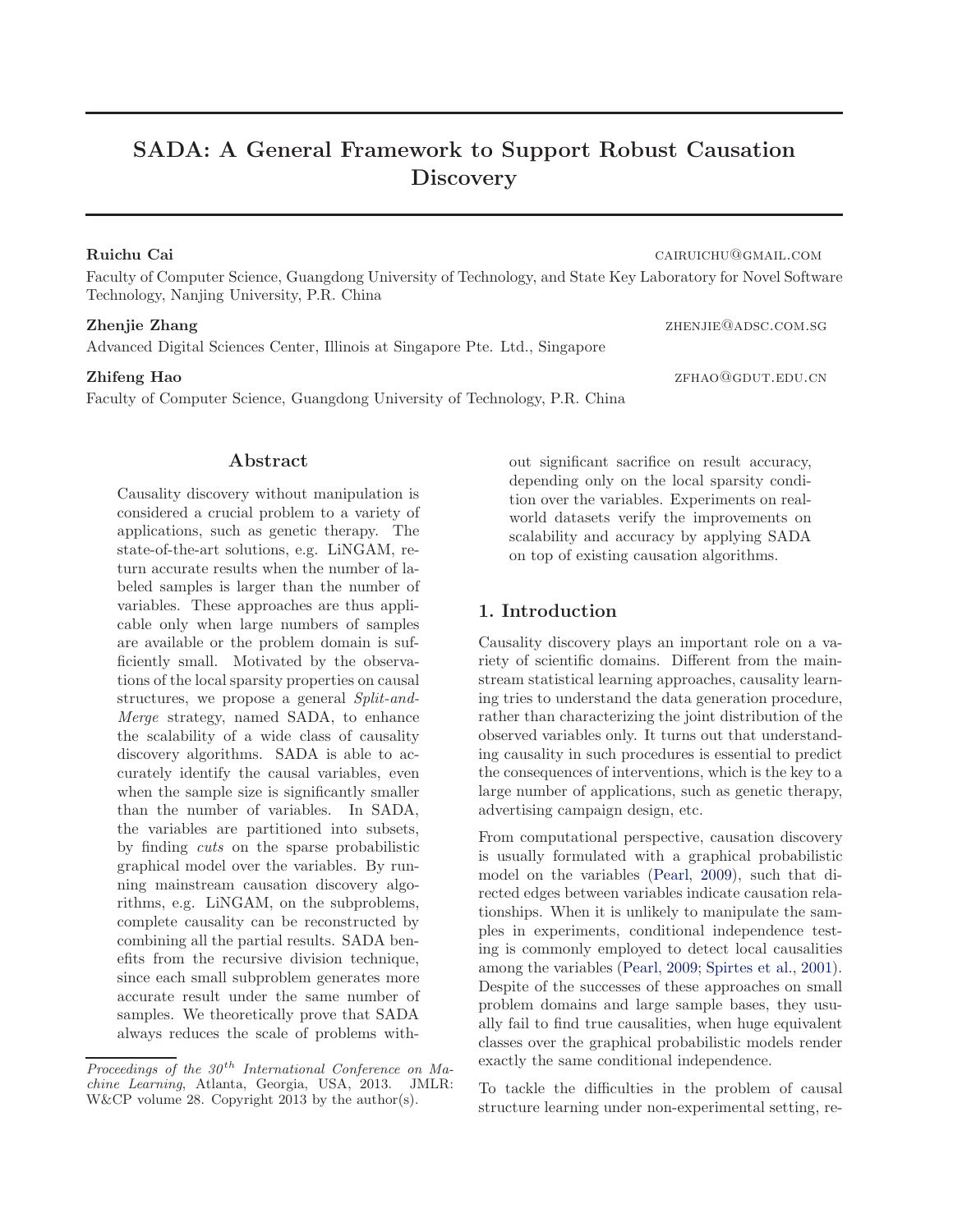# SADA: A General Framework to Support Robust Causation Discovery

# Ruichu Cai cairuichu@gmail.com

Faculty of Computer Science, Guangdong University of Technology, and State Key Laboratory for Novel Software Technology, Nanjing University, P.R. China

Advanced Digital Sciences Center, Illinois at Singapore Pte. Ltd., Singapore

#### **Zhifeng Hao** zfhao zfhao zfhao zfhao zfhao zfhao zfhao zfhao zfhao zfhao zfhao zfhao zfhao zfhao zfhao zfhao zfhao zfhao zfhao zfhao zfhao zfhao zfhao zfhao zfhao zfhao zfhao zfhao zfhao zfhao zfhao zfhao zfhao zfhao zfha

Faculty of Computer Science, Guangdong University of Technology, P.R. China

out significant sacrifice on result accuracy, depending only on the local sparsity condition over the variables. Experiments on realworld datasets verify the improvements on scalability and accuracy by applying SADA on top of existing causation algorithms.

# 1. Introduction

Causality discovery plays an important role on a variety of scientific domains. Different from the mainstream statistical learning approaches, causality learning tries to understand the data generation procedure, rather than characterizing the joint distribution of the observed variables only. It turns out that understanding causality in such procedures is essential to predict the consequences of interventions, which is the key to a large number of applications, such as genetic therapy, advertising campaign design, etc.

From computational perspective, causation discovery is usually formulated with a graphical probabilistic model on the variables [\(Pearl,](#page-8-0) [2009\)](#page-8-0), such that directed edges between variables indicate causation relationships. When it is unlikely to manipulate the samples in experiments, conditional independence testing is commonly employed to detect local causalities among the variables [\(Pearl,](#page-8-0) [2009;](#page-8-0) [Spirtes et al.](#page-8-0), [2001\)](#page-8-0). Despite of the successes of these approaches on small problem domains and large sample bases, they usually fail to find true causalities, when huge equivalent classes over the graphical probabilistic models render exactly the same conditional independence.

To tackle the difficulties in the problem of causal structure learning under non-experimental setting, re-

# Abstract

Causality discovery without manipulation is considered a crucial problem to a variety of applications, such as genetic therapy. The state-of-the-art solutions, e.g. LiNGAM, return accurate results when the number of labeled samples is larger than the number of variables. These approaches are thus applicable only when large numbers of samples are available or the problem domain is sufficiently small. Motivated by the observations of the local sparsity properties on causal structures, we propose a general *Split-and-Merge* strategy, named SADA, to enhance the scalability of a wide class of causality discovery algorithms. SADA is able to accurately identify the causal variables, even when the sample size is significantly smaller than the number of variables. In SADA, the variables are partitioned into subsets, by finding *cuts* on the sparse probabilistic graphical model over the variables. By running mainstream causation discovery algorithms, e.g. LiNGAM, on the subproblems, complete causality can be reconstructed by combining all the partial results. SADA benefits from the recursive division technique, since each small subproblem generates more accurate result under the same number of samples. We theoretically prove that SADA always reduces the scale of problems with-

**Zhenjie Zhang zhenjie Zhang zhenjie Zhang zhenjie zhang zhenjie zhang zhenjie zhang zhenjie zhang zhenjie zhang zhenjie zhang zhenjie zhang zhenjie zhang zhenjie zhang zhenjie zhang zhenjie zhang zhenjie zhang zhenjie zha** 

Proceedings of the  $30<sup>th</sup>$  International Conference on Machine Learning, Atlanta, Georgia, USA, 2013. JMLR: W&CP volume 28. Copyright 2013 by the author(s).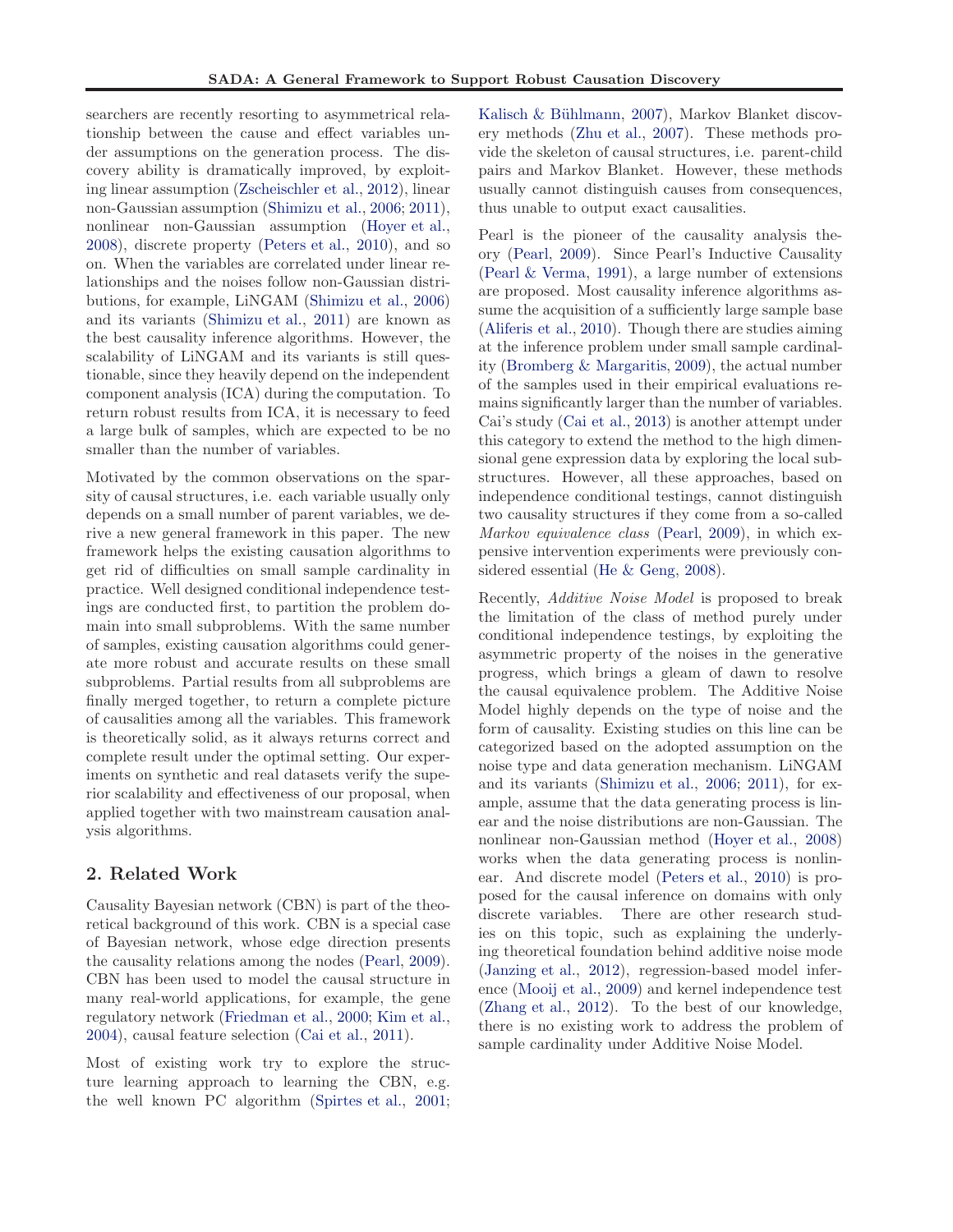searchers are recently resorting to asymmetrical relationship between the cause and effect variables under assumptions on the generation process. The discovery ability is dramatically improved, by exploiting linear assumption [\(Zscheischler et al.,](#page-8-0) [2012\)](#page-8-0), linear non-Gaussian assumption [\(Shimizu et al.,](#page-8-0) [2006;](#page-8-0) [2011\)](#page-8-0), nonlinear non-Gaussian assumption [\(Hoyer et al.,](#page-8-0) [2008\)](#page-8-0), discrete property [\(Peters et al.](#page-8-0), [2010](#page-8-0)), and so on. When the variables are correlated under linear relationships and the noises follow non-Gaussian distributions, for example, LiNGAM [\(Shimizu et al.,](#page-8-0) [2006\)](#page-8-0) and its variants [\(Shimizu et al.](#page-8-0), [2011\)](#page-8-0) are known as the best causality inference algorithms. However, the scalability of LiNGAM and its variants is still questionable, since they heavily depend on the independent component analysis (ICA) during the computation. To return robust results from ICA, it is necessary to feed a large bulk of samples, which are expected to be no smaller than the number of variables.

Motivated by the common observations on the sparsity of causal structures, i.e. each variable usually only depends on a small number of parent variables, we derive a new general framework in this paper. The new framework helps the existing causation algorithms to get rid of difficulties on small sample cardinality in practice. Well designed conditional independence testings are conducted first, to partition the problem domain into small subproblems. With the same number of samples, existing causation algorithms could generate more robust and accurate results on these small subproblems. Partial results from all subproblems are finally merged together, to return a complete picture of causalities among all the variables. This framework is theoretically solid, as it always returns correct and complete result under the optimal setting. Our experiments on synthetic and real datasets verify the superior scalability and effectiveness of our proposal, when applied together with two mainstream causation analysis algorithms.

# 2. Related Work

Causality Bayesian network (CBN) is part of the theoretical background of this work. CBN is a special case of Bayesian network, whose edge direction presents the causality relations among the nodes [\(Pearl](#page-8-0), [2009\)](#page-8-0). CBN has been used to model the causal structure in many real-world applications, for example, the gene regulatory network [\(Friedman et al.](#page-8-0), [2000;](#page-8-0) [Kim et al.,](#page-8-0) [2004\)](#page-8-0), causal feature selection [\(Cai et al.,](#page-8-0) [2011\)](#page-8-0).

Most of existing work try to explore the structure learning approach to learning the CBN, e.g. the well known PC algorithm [\(Spirtes et al.](#page-8-0), [2001;](#page-8-0)

Kalisch & Bühlmann, [2007\)](#page-8-0), Markov Blanket discovery methods [\(Zhu et al.,](#page-8-0) [2007\)](#page-8-0). These methods provide the skeleton of causal structures, i.e. parent-child pairs and Markov Blanket. However, these methods usually cannot distinguish causes from consequences, thus unable to output exact causalities.

Pearl is the pioneer of the causality analysis theory [\(Pearl,](#page-8-0) [2009\)](#page-8-0). Since Pearl's Inductive Causality [\(Pearl & Verma,](#page-8-0) [1991](#page-8-0)), a large number of extensions are proposed. Most causality inference algorithms assume the acquisition of a sufficiently large sample base [\(Aliferis et al.,](#page-8-0) [2010\)](#page-8-0). Though there are studies aiming at the inference problem under small sample cardinality [\(Bromberg & Margaritis,](#page-8-0) [2009\)](#page-8-0), the actual number of the samples used in their empirical evaluations remains significantly larger than the number of variables. Cai's study [\(Cai et al.,](#page-8-0) [2013\)](#page-8-0) is another attempt under this category to extend the method to the high dimensional gene expression data by exploring the local substructures. However, all these approaches, based on independence conditional testings, cannot distinguish two causality structures if they come from a so-called *Markov equivalence class* [\(Pearl,](#page-8-0) [2009\)](#page-8-0), in which expensive intervention experiments were previously considered essential [\(He & Geng,](#page-8-0) [2008\)](#page-8-0).

Recently, *Additive Noise Model* is proposed to break the limitation of the class of method purely under conditional independence testings, by exploiting the asymmetric property of the noises in the generative progress, which brings a gleam of dawn to resolve the causal equivalence problem. The Additive Noise Model highly depends on the type of noise and the form of causality. Existing studies on this line can be categorized based on the adopted assumption on the noise type and data generation mechanism. LiNGAM and its variants [\(Shimizu et al.](#page-8-0), [2006;](#page-8-0) [2011\)](#page-8-0), for example, assume that the data generating process is linear and the noise distributions are non-Gaussian. The nonlinear non-Gaussian method [\(Hoyer et al.,](#page-8-0) [2008\)](#page-8-0) works when the data generating process is nonlinear. And discrete model [\(Peters et al.,](#page-8-0) [2010\)](#page-8-0) is proposed for the causal inference on domains with only discrete variables. There are other research studies on this topic, such as explaining the underlying theoretical foundation behind additive noise mode [\(Janzing et al.](#page-8-0), [2012\)](#page-8-0), regression-based model inference [\(Mooij et al.,](#page-8-0) [2009\)](#page-8-0) and kernel independence test [\(Zhang et al.,](#page-8-0) [2012](#page-8-0)). To the best of our knowledge, there is no existing work to address the problem of sample cardinality under Additive Noise Model.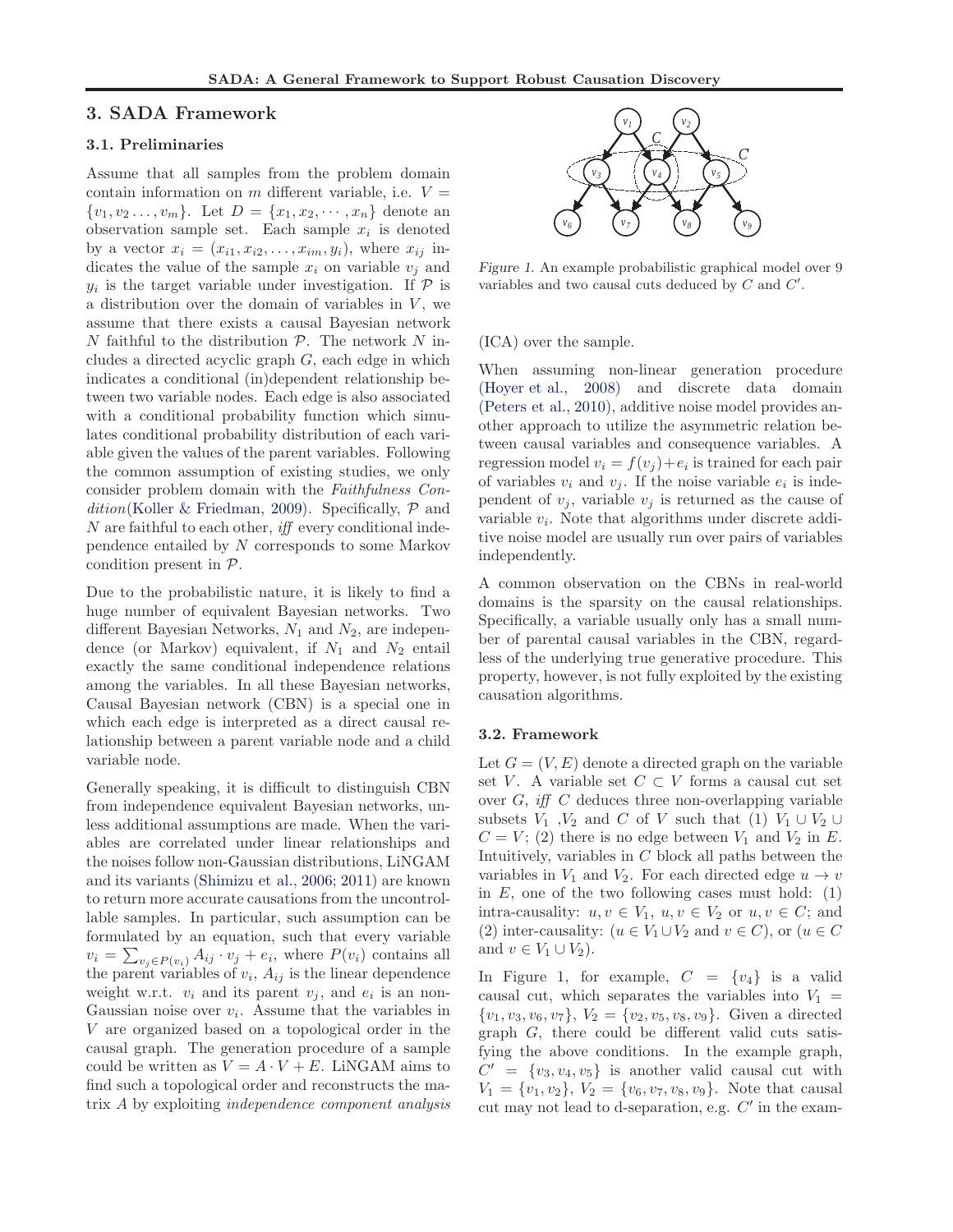#### <span id="page-2-0"></span>3. SADA Framework

#### 3.1. Preliminaries

Assume that all samples from the problem domain contain information on m different variable, i.e.  $V =$  $\{v_1, v_2, \ldots, v_m\}$ . Let  $D = \{x_1, x_2, \cdots, x_n\}$  denote an observation sample set. Each sample  $x_i$  is denoted by a vector  $x_i = (x_{i1}, x_{i2}, \ldots, x_{im}, y_i)$ , where  $x_{ij}$  indicates the value of the sample  $x_i$  on variable  $v_j$  and  $y_i$  is the target variable under investigation. If  $\mathcal P$  is a distribution over the domain of variables in  $V$ , we assume that there exists a causal Bayesian network N faithful to the distribution  $P$ . The network N includes a directed acyclic graph  $G$ , each edge in which indicates a conditional (in)dependent relationship between two variable nodes. Each edge is also associated with a conditional probability function which simulates conditional probability distribution of each variable given the values of the parent variables. Following the common assumption of existing studies, we only consider problem domain with the *Faithfulness Condition*[\(Koller & Friedman](#page-8-0), [2009](#page-8-0)). Specifically, P and N are faithful to each other, *iff* every conditional independence entailed by N corresponds to some Markov condition present in P.

Due to the probabilistic nature, it is likely to find a huge number of equivalent Bayesian networks. Two different Bayesian Networks,  $N_1$  and  $N_2$ , are independence (or Markov) equivalent, if  $N_1$  and  $N_2$  entail exactly the same conditional independence relations among the variables. In all these Bayesian networks, Causal Bayesian network (CBN) is a special one in which each edge is interpreted as a direct causal relationship between a parent variable node and a child variable node.

Generally speaking, it is difficult to distinguish CBN from independence equivalent Bayesian networks, unless additional assumptions are made. When the variables are correlated under linear relationships and the noises follow non-Gaussian distributions, LiNGAM and its variants [\(Shimizu et al.](#page-8-0), [2006;](#page-8-0) [2011\)](#page-8-0) are known to return more accurate causations from the uncontrollable samples. In particular, such assumption can be formulated by an equation, such that every variable  $v_i = \sum_{v_j \in P(v_i)} A_{ij} \cdot v_j + e_i$ , where  $P(v_i)$  contains all the parent variables of  $v_i$ ,  $A_{ij}$  is the linear dependence weight w.r.t.  $v_i$  and its parent  $v_j$ , and  $e_i$  is an non-Gaussian noise over  $v_i$ . Assume that the variables in V are organized based on a topological order in the causal graph. The generation procedure of a sample could be written as  $V = A \cdot V + E$ . LiNGAM aims to find such a topological order and reconstructs the matrix A by exploiting *independence component analysis*



Figure 1. An example probabilistic graphical model over 9 variables and two causal cuts deduced by  $C$  and  $C'$ .

(ICA) over the sample.

When assuming non-linear generation procedure [\(Hoyer et al.](#page-8-0), [2008\)](#page-8-0) and discrete data domain [\(Peters et al.,](#page-8-0) [2010](#page-8-0)), additive noise model provides another approach to utilize the asymmetric relation between causal variables and consequence variables. A regression model  $v_i = f(v_j) + e_i$  is trained for each pair of variables  $v_i$  and  $v_j$ . If the noise variable  $e_i$  is independent of  $v_j$ , variable  $v_j$  is returned as the cause of variable  $v_i$ . Note that algorithms under discrete additive noise model are usually run over pairs of variables independently.

A common observation on the CBNs in real-world domains is the sparsity on the causal relationships. Specifically, a variable usually only has a small number of parental causal variables in the CBN, regardless of the underlying true generative procedure. This property, however, is not fully exploited by the existing causation algorithms.

#### 3.2. Framework

Let  $G = (V, E)$  denote a directed graph on the variable set V. A variable set  $C \subset V$  forms a causal cut set over G, *iff* C deduces three non-overlapping variable subsets  $V_1$ ,  $V_2$  and C of V such that (1)  $V_1 \cup V_2 \cup$  $C = V$ ; (2) there is no edge between  $V_1$  and  $V_2$  in E. Intuitively, variables in  $C$  block all paths between the variables in  $V_1$  and  $V_2$ . For each directed edge  $u \to v$ in  $E$ , one of the two following cases must hold: (1) intra-causality:  $u, v \in V_1$ ,  $u, v \in V_2$  or  $u, v \in C$ ; and (2) inter-causality:  $(u \in V_1 \cup V_2 \text{ and } v \in C)$ , or  $(u \in C)$ and  $v \in V_1 \cup V_2$ .

In Figure 1, for example,  $C = \{v_4\}$  is a valid causal cut, which separates the variables into  $V_1$  =  $\{v_1, v_3, v_6, v_7\}, V_2 = \{v_2, v_5, v_8, v_9\}.$  Given a directed graph G, there could be different valid cuts satisfying the above conditions. In the example graph,  $C' = \{v_3, v_4, v_5\}$  is another valid causal cut with  $V_1 = \{v_1, v_2\}, V_2 = \{v_6, v_7, v_8, v_9\}.$  Note that causal cut may not lead to d-separation, e.g.  $C'$  in the exam-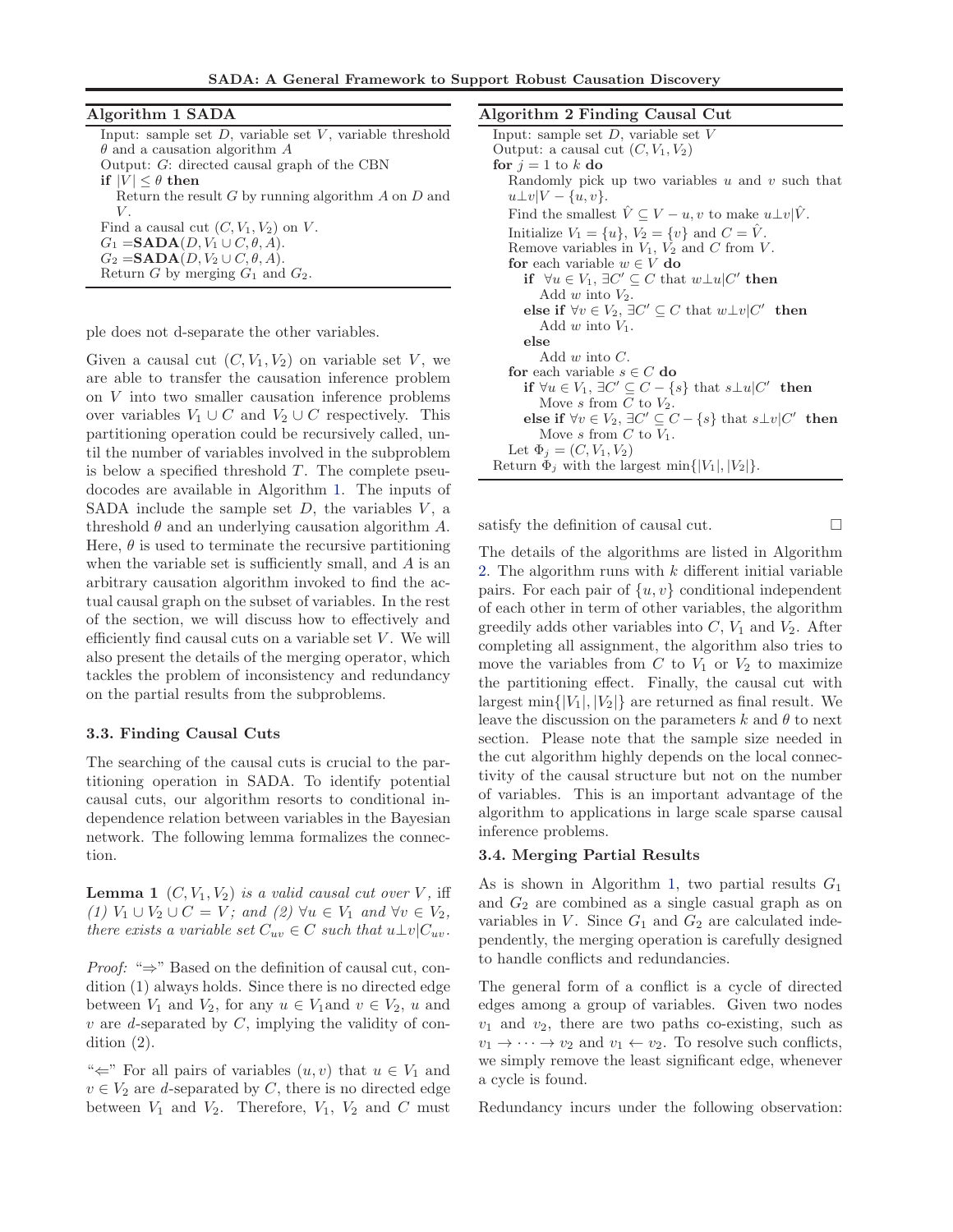SADA: A General Framework to Support Robust Causation Discovery

<span id="page-3-0"></span>

| Algorithm 1 SADA                                              |   |
|---------------------------------------------------------------|---|
| Input: sample set $D$ , variable set $V$ , variable threshold | Ŀ |
| $\theta$ and a causation algorithm A                          |   |
| Output: $G$ : directed causal graph of the CBN                |   |
| if $ V  \leq \theta$ then                                     |   |
| Return the result G by running algorithm $A$ on $D$ and       |   |
| V.                                                            |   |
| Find a causal cut $(C, V_1, V_2)$ on V.                       |   |
| $G_1 = \mathbf{SADA}(D, V_1 \cup C, \theta, A).$              |   |
| $G_2 =$ <b>SADA</b> $(D, V_2 \cup C, \theta, A)$ .            |   |
| Return G by merging $G_1$ and $G_2$ .                         |   |

ple does not d-separate the other variables.

Given a causal cut  $(C, V_1, V_2)$  on variable set V, we are able to transfer the causation inference problem on V into two smaller causation inference problems over variables  $V_1 \cup C$  and  $V_2 \cup C$  respectively. This partitioning operation could be recursively called, until the number of variables involved in the subproblem is below a specified threshold  $T$ . The complete pseudocodes are available in Algorithm 1. The inputs of SADA include the sample set  $D$ , the variables  $V$ , a threshold  $\theta$  and an underlying causation algorithm  $A$ . Here,  $\theta$  is used to terminate the recursive partitioning when the variable set is sufficiently small, and  $A$  is an arbitrary causation algorithm invoked to find the actual causal graph on the subset of variables. In the rest of the section, we will discuss how to effectively and efficiently find causal cuts on a variable set  $V$ . We will also present the details of the merging operator, which tackles the problem of inconsistency and redundancy on the partial results from the subproblems.

#### 3.3. Finding Causal Cuts

The searching of the causal cuts is crucial to the partitioning operation in SADA. To identify potential causal cuts, our algorithm resorts to conditional independence relation between variables in the Bayesian network. The following lemma formalizes the connection.

**Lemma 1**  $(C, V_1, V_2)$  *is a valid causal cut over* V, iff *(1)*  $V_1 \cup V_2 \cup C = V$ *;* and  $(2) \forall u \in V_1$  and  $\forall v \in V_2$ *, there exists a variable set*  $C_{uv} \in C$  *such that*  $u \perp v | C_{uv}$ .

*Proof:* "⇒" Based on the definition of causal cut, condition (1) always holds. Since there is no directed edge between  $V_1$  and  $V_2$ , for any  $u \in V_1$  and  $v \in V_2$ , u and v are *d*-separated by C, implying the validity of condition (2).

" $\Leftarrow$ " For all pairs of variables  $(u, v)$  that  $u \in V_1$  and  $v \in V_2$  are *d*-separated by C, there is no directed edge between  $V_1$  and  $V_2$ . Therefore,  $V_1$ ,  $V_2$  and  $C$  must

#### eorithm 2 Finding Causal Cut

satisfy the definition of causal cut.

The details of the algorithms are listed in Algorithm 2. The algorithm runs with  $k$  different initial variable pairs. For each pair of  $\{u, v\}$  conditional independent of each other in term of other variables, the algorithm greedily adds other variables into  $C$ ,  $V_1$  and  $V_2$ . After completing all assignment, the algorithm also tries to move the variables from  $C$  to  $V_1$  or  $V_2$  to maximize the partitioning effect. Finally, the causal cut with largest min $\{|V_1|, |V_2|\}$  are returned as final result. We leave the discussion on the parameters  $k$  and  $\theta$  to next section. Please note that the sample size needed in the cut algorithm highly depends on the local connectivity of the causal structure but not on the number of variables. This is an important advantage of the algorithm to applications in large scale sparse causal inference problems.

#### 3.4. Merging Partial Results

As is shown in Algorithm 1, two partial results  $G_1$ and  $G_2$  are combined as a single casual graph as on variables in  $V$ . Since  $G_1$  and  $G_2$  are calculated independently, the merging operation is carefully designed to handle conflicts and redundancies.

The general form of a conflict is a cycle of directed edges among a group of variables. Given two nodes  $v_1$  and  $v_2$ , there are two paths co-existing, such as  $v_1 \rightarrow \cdots \rightarrow v_2$  and  $v_1 \leftarrow v_2$ . To resolve such conflicts, we simply remove the least significant edge, whenever a cycle is found.

Redundancy incurs under the following observation: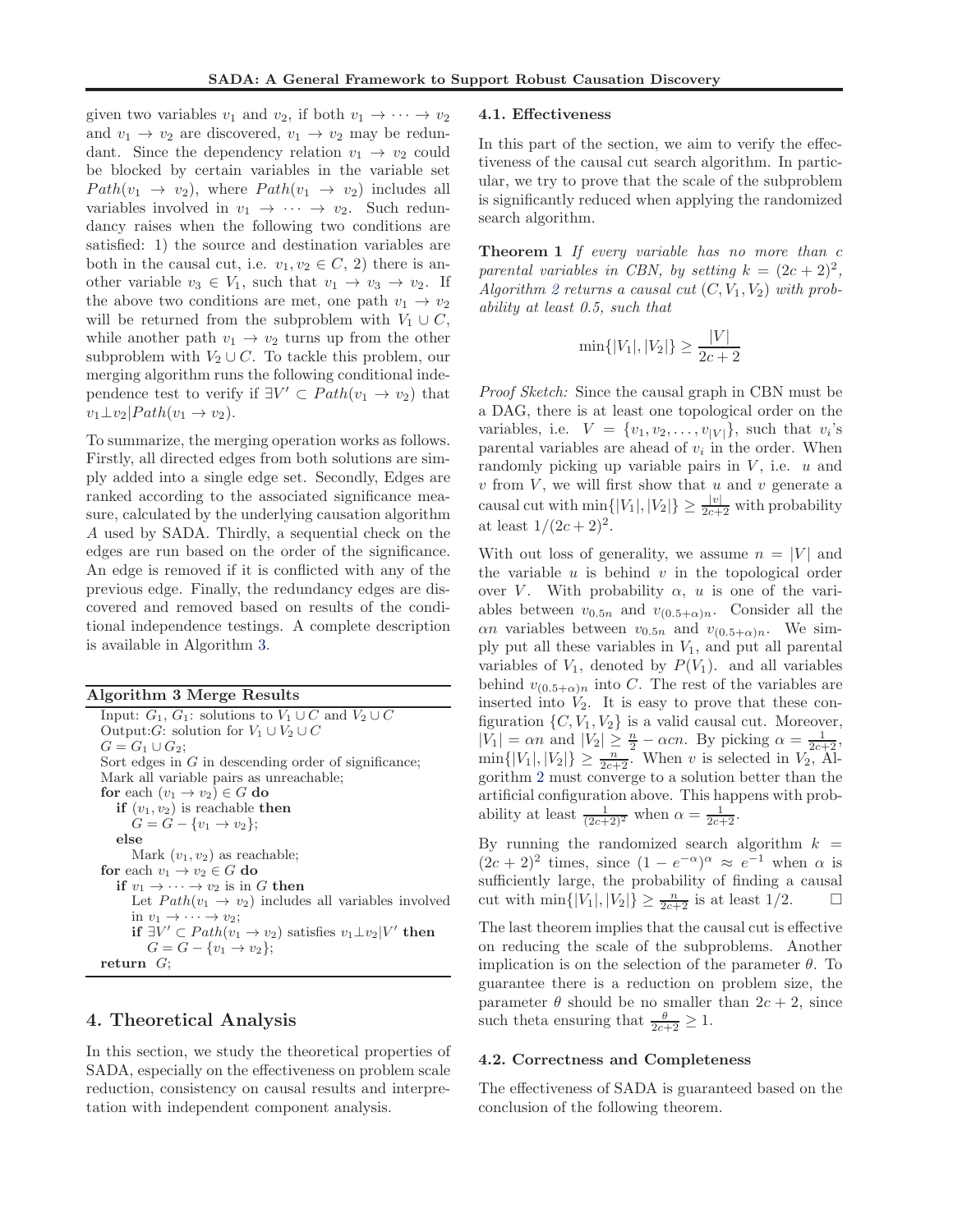given two variables  $v_1$  and  $v_2$ , if both  $v_1 \rightarrow \cdots \rightarrow v_2$ and  $v_1 \rightarrow v_2$  are discovered,  $v_1 \rightarrow v_2$  may be redundant. Since the dependency relation  $v_1 \rightarrow v_2$  could be blocked by certain variables in the variable set  $Path(v_1 \rightarrow v_2)$ , where  $Path(v_1 \rightarrow v_2)$  includes all variables involved in  $v_1 \rightarrow \cdots \rightarrow v_2$ . Such redundancy raises when the following two conditions are satisfied: 1) the source and destination variables are both in the causal cut, i.e.  $v_1, v_2 \in C$ , 2) there is another variable  $v_3 \in V_1$ , such that  $v_1 \to v_3 \to v_2$ . If the above two conditions are met, one path  $v_1 \rightarrow v_2$ will be returned from the subproblem with  $V_1 \cup C$ , while another path  $v_1 \rightarrow v_2$  turns up from the other subproblem with  $V_2 \cup C$ . To tackle this problem, our merging algorithm runs the following conditional independence test to verify if  $\exists V' \subset Path(v_1 \to v_2)$  that  $v_1 \perp v_2$ | $Path(v_1 \rightarrow v_2)$ .

To summarize, the merging operation works as follows. Firstly, all directed edges from both solutions are simply added into a single edge set. Secondly, Edges are ranked according to the associated significance measure, calculated by the underlying causation algorithm A used by SADA. Thirdly, a sequential check on the edges are run based on the order of the significance. An edge is removed if it is conflicted with any of the previous edge. Finally, the redundancy edges are discovered and removed based on results of the conditional independence testings. A complete description is available in Algorithm 3.

|  | Algorithm 3 Merge Results |  |  |  |
|--|---------------------------|--|--|--|
|--|---------------------------|--|--|--|

Input:  $G_1, G_1$ : solutions to  $V_1 \cup C$  and  $V_2 \cup C$ Output: $G$ : solution for  $V_1 \cup V_2 \cup C$  $G = G_1 \cup G_2;$ Sort edges in  $G$  in descending order of significance; Mark all variable pairs as unreachable; for each  $(v_1 \rightarrow v_2) \in G$  do if  $(v_1, v_2)$  is reachable then  $G = G - \{v_1 \to v_2\};$ else Mark  $(v_1, v_2)$  as reachable; for each  $v_1 \rightarrow v_2 \in G$  do if  $v_1 \rightarrow \cdots \rightarrow v_2$  is in G then Let  $Path(v_1 \rightarrow v_2)$  includes all variables involved in  $v_1 \rightarrow \cdots \rightarrow v_2$ ; **if**  $\exists V' \subset Path(v_1 \rightarrow v_2)$  satisfies  $v_1 \perp v_2 | V'$  then  $G = G - \{v_1 \to v_2\};$ return  $G$ ;

# 4. Theoretical Analysis

In this section, we study the theoretical properties of SADA, especially on the effectiveness on problem scale reduction, consistency on causal results and interpretation with independent component analysis.

#### 4.1. Effectiveness

In this part of the section, we aim to verify the effectiveness of the causal cut search algorithm. In particular, we try to prove that the scale of the subproblem is significantly reduced when applying the randomized search algorithm.

Theorem 1 *If every variable has no more than* c parental variables in CBN, by setting  $k = (2c + 2)^2$ , Algorithm [2](#page-3-0) returns a causal cut  $(C, V_1, V_2)$  with prob*ability at least 0.5, such that*

$$
\min\{|V_1|, |V_2|\} \ge \frac{|V|}{2c+2}
$$

*Proof Sketch:* Since the causal graph in CBN must be a DAG, there is at least one topological order on the variables, i.e.  $V = \{v_1, v_2, \dots, v_{|V|}\}$ , such that  $v_i$ 's parental variables are ahead of  $v_i$  in the order. When randomly picking up variable pairs in  $V$ , i.e.  $u$  and  $v$  from  $V$ , we will first show that  $u$  and  $v$  generate a causal cut with  $\min\{|V_1|, |V_2|\} \geq \frac{|v|}{2c+2}$  with probability at least  $1/(2c+2)^2$ .

With out loss of generality, we assume  $n = |V|$  and the variable  $u$  is behind  $v$  in the topological order over V. With probability  $\alpha$ , u is one of the variables between  $v_{0.5n}$  and  $v_{(0.5+\alpha)n}$ . Consider all the  $\alpha n$  variables between  $v_{0.5n}$  and  $v_{(0.5+\alpha)n}$ . We simply put all these variables in  $V_1$ , and put all parental variables of  $V_1$ , denoted by  $P(V_1)$ . and all variables behind  $v_{(0.5+\alpha)n}$  into C. The rest of the variables are inserted into  $V_2$ . It is easy to prove that these configuration  $\{C, V_1, V_2\}$  is a valid causal cut. Moreover,  $|V_1| = \alpha n$  and  $|V_2| \geq \frac{n}{2} - \alpha cn$ . By picking  $\alpha = \frac{1}{2c+2}$ ,  $\min\{|V_1|, |V_2|\} \ge \frac{n}{2c+2}$ . When v is selected in  $V_2$ , Algorithm [2](#page-3-0) must converge to a solution better than the artificial configuration above. This happens with probability at least  $\frac{1}{(2c+2)^2}$  when  $\alpha = \frac{1}{2c+2}$ .

By running the randomized search algorithm  $k =$  $(2c+2)^2$  times, since  $(1-e^{-\alpha})^{\alpha} \approx e^{-1}$  when  $\alpha$  is sufficiently large, the probability of finding a causal cut with  $\min\{|V_1|, |V_2|\} \ge \frac{n}{2c+2}$  is at least  $1/2$ .  $\Box$ 

The last theorem implies that the causal cut is effective on reducing the scale of the subproblems. Another implication is on the selection of the parameter  $\theta$ . To guarantee there is a reduction on problem size, the parameter  $\theta$  should be no smaller than  $2c + 2$ , since such theta ensuring that  $\frac{\theta}{2c+2} \geq 1$ .

#### 4.2. Correctness and Completeness

The effectiveness of SADA is guaranteed based on the conclusion of the following theorem.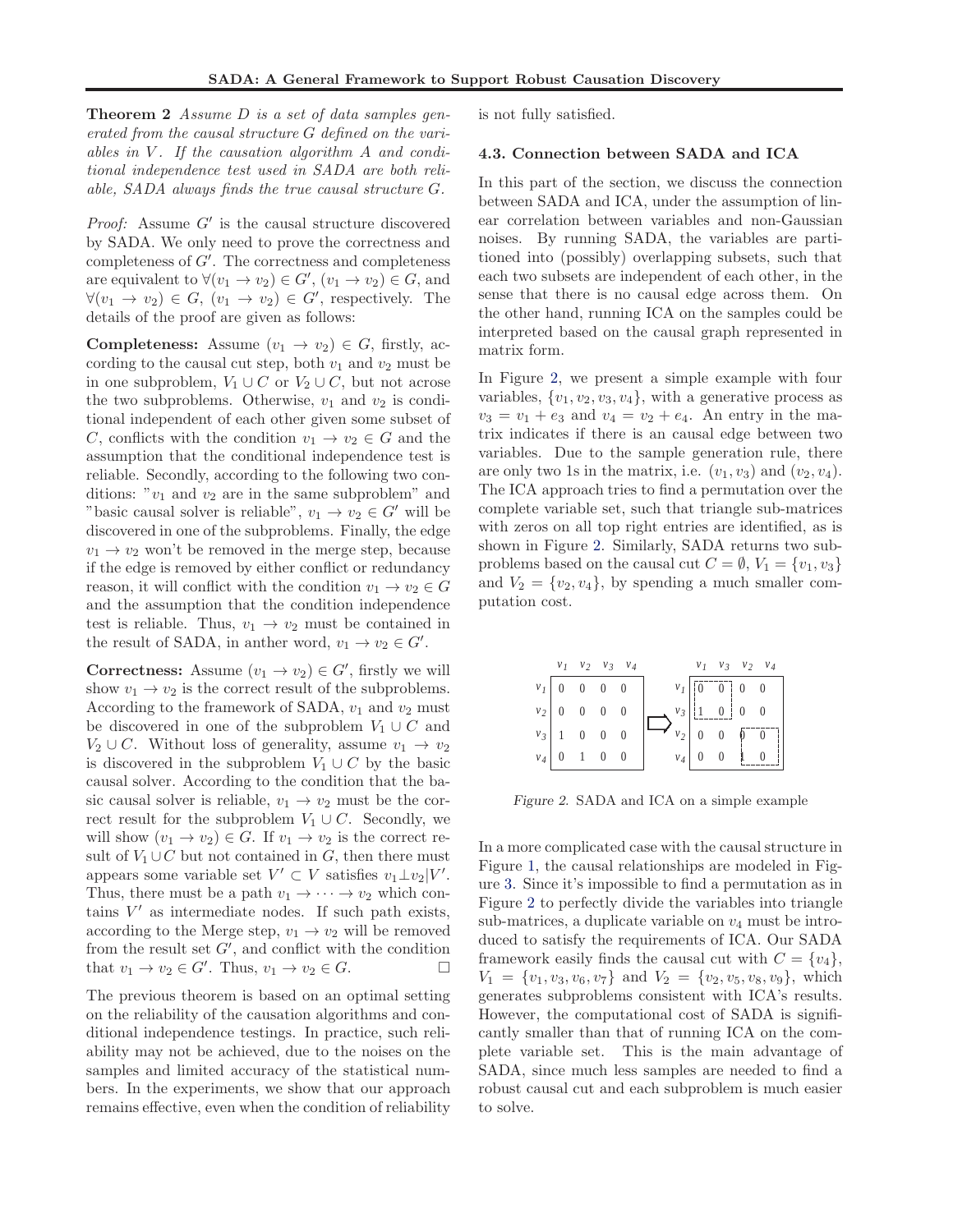Theorem 2 *Assume* D *is a set of data samples generated from the causal structure* G *defined on the vari*ables in V. If the causation algorithm A and condi*tional independence test used in SADA are both reliable, SADA always finds the true causal structure* G*.*

*Proof:* Assume  $G'$  is the causal structure discovered by SADA. We only need to prove the correctness and completeness of G′ . The correctness and completeness are equivalent to  $\forall (v_1 \rightarrow v_2) \in G', (v_1 \rightarrow v_2) \in G$ , and  $\forall (v_1 \rightarrow v_2) \in G, (v_1 \rightarrow v_2) \in G',$  respectively. The details of the proof are given as follows:

**Completeness:** Assume  $(v_1 \rightarrow v_2) \in G$ , firstly, according to the causal cut step, both  $v_1$  and  $v_2$  must be in one subproblem,  $V_1 \cup C$  or  $V_2 \cup C$ , but not acrose the two subproblems. Otherwise,  $v_1$  and  $v_2$  is conditional independent of each other given some subset of C, conflicts with the condition  $v_1 \rightarrow v_2 \in G$  and the assumption that the conditional independence test is reliable. Secondly, according to the following two conditions: " $v_1$  and  $v_2$  are in the same subproblem" and "basic causal solver is reliable",  $v_1 \rightarrow v_2 \in G'$  will be discovered in one of the subproblems. Finally, the edge  $v_1 \rightarrow v_2$  won't be removed in the merge step, because if the edge is removed by either conflict or redundancy reason, it will conflict with the condition  $v_1 \to v_2 \in G$ and the assumption that the condition independence test is reliable. Thus,  $v_1 \rightarrow v_2$  must be contained in the result of SADA, in anther word,  $v_1 \to v_2 \in G'$ .

**Correctness:** Assume  $(v_1 \rightarrow v_2) \in G'$ , firstly we will show  $v_1 \rightarrow v_2$  is the correct result of the subproblems. According to the framework of SADA,  $v_1$  and  $v_2$  must be discovered in one of the subproblem  $V_1 \cup C$  and  $V_2 \cup C$ . Without loss of generality, assume  $v_1 \rightarrow v_2$ is discovered in the subproblem  $V_1 \cup C$  by the basic causal solver. According to the condition that the basic causal solver is reliable,  $v_1 \rightarrow v_2$  must be the correct result for the subproblem  $V_1 \cup C$ . Secondly, we will show  $(v_1 \rightarrow v_2) \in G$ . If  $v_1 \rightarrow v_2$  is the correct result of  $V_1 \cup C$  but not contained in  $G$ , then there must appears some variable set  $V' \subset V$  satisfies  $v_1 \perp v_2 | V'$ . Thus, there must be a path  $v_1 \rightarrow \cdots \rightarrow v_2$  which contains  $V'$  as intermediate nodes. If such path exists, according to the Merge step,  $v_1 \rightarrow v_2$  will be removed from the result set  $G'$ , and conflict with the condition that  $v_1 \to v_2 \in G'$ . Thus,  $v_1 \to v_2 \in G$ .

The previous theorem is based on an optimal setting on the reliability of the causation algorithms and conditional independence testings. In practice, such reliability may not be achieved, due to the noises on the samples and limited accuracy of the statistical numbers. In the experiments, we show that our approach remains effective, even when the condition of reliability is not fully satisfied.

#### 4.3. Connection between SADA and ICA

In this part of the section, we discuss the connection between SADA and ICA, under the assumption of linear correlation between variables and non-Gaussian noises. By running SADA, the variables are partitioned into (possibly) overlapping subsets, such that each two subsets are independent of each other, in the sense that there is no causal edge across them. On the other hand, running ICA on the samples could be interpreted based on the causal graph represented in matrix form.

In Figure 2, we present a simple example with four variables,  $\{v_1, v_2, v_3, v_4\}$ , with a generative process as  $v_3 = v_1 + e_3$  and  $v_4 = v_2 + e_4$ . An entry in the matrix indicates if there is an causal edge between two variables. Due to the sample generation rule, there are only two 1s in the matrix, i.e.  $(v_1, v_3)$  and  $(v_2, v_4)$ . The ICA approach tries to find a permutation over the complete variable set, such that triangle sub-matrices with zeros on all top right entries are identified, as is shown in Figure 2. Similarly, SADA returns two subproblems based on the causal cut  $C = \emptyset$ ,  $V_1 = \{v_1, v_3\}$ and  $V_2 = \{v_2, v_4\}$ , by spending a much smaller computation cost.

|               | $v_1$ $v_2$ $v_3$ $v_4$ |                                                                               | $v_1$ $v_3$ $v_2$ $v_4$                                                                                            |                                           |
|---------------|-------------------------|-------------------------------------------------------------------------------|--------------------------------------------------------------------------------------------------------------------|-------------------------------------------|
|               |                         |                                                                               | $v_I$ 0 0 0 0 $v_I$ $\begin{bmatrix} 0 & 0 & 0 \end{bmatrix}$ 0 0                                                  |                                           |
|               |                         | $\begin{array}{c ccc} v_2 & 0 & 0 & 0 & 0 \\ v_3 & 1 & 0 & 0 & 0 \end{array}$ | $\Rightarrow \frac{\nu_3}{\nu_2}\left \frac{1}{0}\right _0^{\frac{1}{2}} \left \frac{0}{0}\right _0^{\frac{1}{2}}$ |                                           |
|               |                         |                                                                               |                                                                                                                    |                                           |
| $v_4$ $\vert$ |                         |                                                                               | $\begin{array}{ c c c c c c } \hline 0 & 1 & 0 & 0 & v_4 & 0 \ \hline \end{array}$                                 | $\begin{bmatrix} 0 & 1 & 0 \end{bmatrix}$ |

Figure 2. SADA and ICA on a simple example

In a more complicated case with the causal structure in Figure [1,](#page-2-0) the causal relationships are modeled in Figure [3.](#page-6-0) Since it's impossible to find a permutation as in Figure 2 to perfectly divide the variables into triangle sub-matrices, a duplicate variable on  $v_4$  must be introduced to satisfy the requirements of ICA. Our SADA framework easily finds the causal cut with  $C = \{v_4\},\$  $V_1 = \{v_1, v_3, v_6, v_7\}$  and  $V_2 = \{v_2, v_5, v_8, v_9\}$ , which generates subproblems consistent with ICA's results. However, the computational cost of SADA is significantly smaller than that of running ICA on the complete variable set. This is the main advantage of SADA, since much less samples are needed to find a robust causal cut and each subproblem is much easier to solve.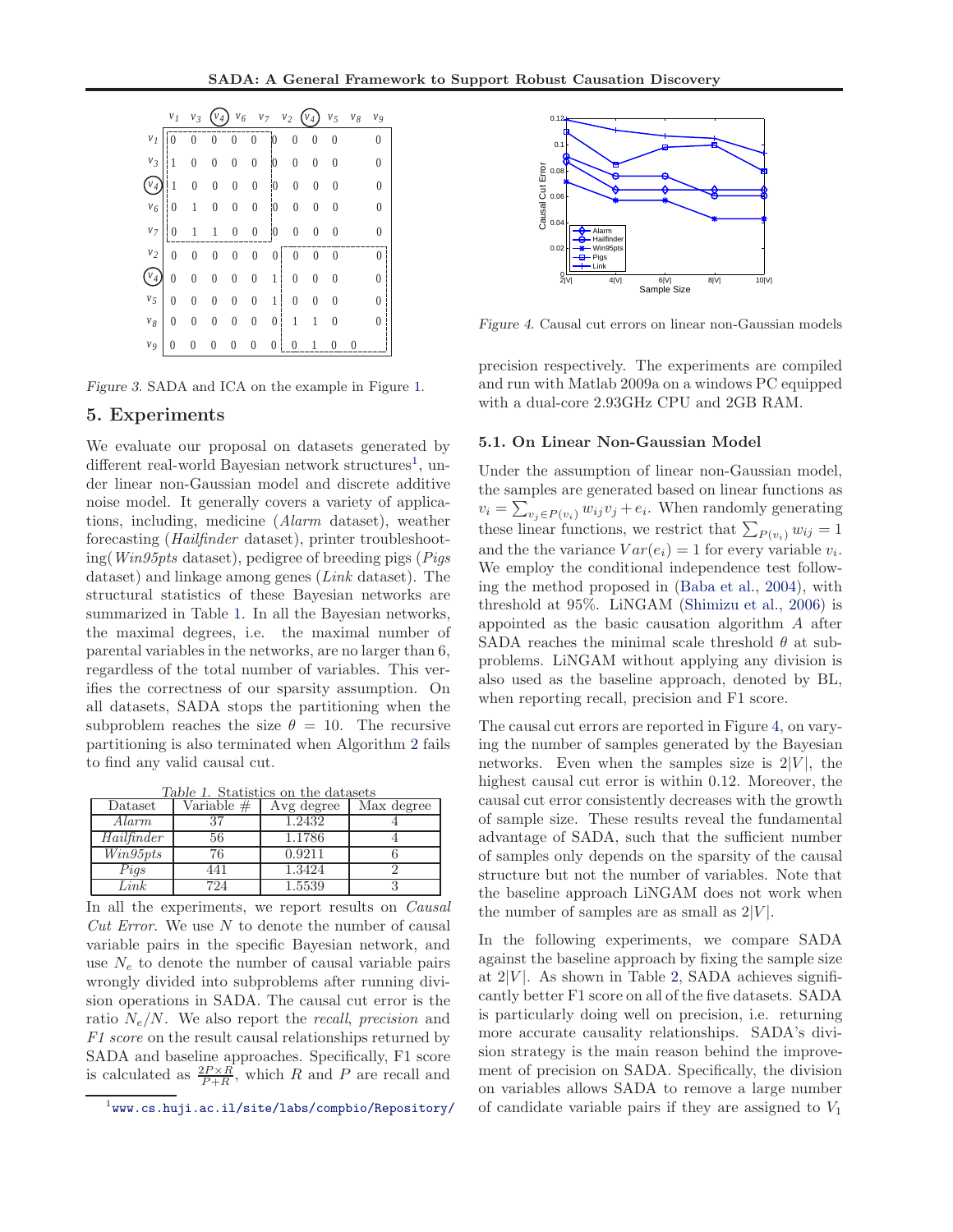<span id="page-6-0"></span>

|                   | $v_I$          | $v_3$            |                  | $v_6$            | $v_7$               | v <sub>2</sub>   | $\boldsymbol{v}_4$ | v <sub>5</sub> | $v_{\mathcal{S}}$ | V <sub>9</sub>   |
|-------------------|----------------|------------------|------------------|------------------|---------------------|------------------|--------------------|----------------|-------------------|------------------|
| $v_I$             |                |                  |                  | $\overline{0}$   | $\overline{0}$<br>ł | 0                | 0                  | $\overline{0}$ | 0                 | 0                |
| $v_{\mathcal{Z}}$ | $\mathbf{1}$   | $\overline{0}$   | 0                | 0                | $\overline{0}$      | $\mathbf{0}$     | 0                  | 0              | 0                 | $\boldsymbol{0}$ |
|                   | 1              | $\boldsymbol{0}$ | $\overline{0}$   | $\overline{0}$   | $\overline{0}$<br>î | $\overline{0}$   | $\overline{0}$     | $\theta$       | 0                 | $\overline{0}$   |
| $v_{\rm 6}$       | $\mathbf{0}$   | $1\,$            | $\boldsymbol{0}$ | $\boldsymbol{0}$ | $\boldsymbol{0}$    | 0                | 0                  | $\theta$       | 0                 | $\theta$         |
| v <sub>7</sub>    |                |                  |                  | $\overline{0}$   | $\bf{0}$            | 0                | 0                  | $\theta$       | 0                 | $\Omega$         |
| $v_2$             | $\theta$       | $\theta$         | $\mathbf{0}$     | $\overline{0}$   | $\boldsymbol{0}$    | 0                |                    |                |                   |                  |
| $v_4$             | $\overline{0}$ | $\overline{0}$   | $\overline{0}$   | $\overline{0}$   | $\overline{0}$      | $\overline{1}$   | $\mathbf{0}$       | $\theta$       | 0                 |                  |
| v <sub>5</sub>    | $\theta$       | $\theta$         | 0                | 0                | $\overline{0}$      | 1                | 0                  | 0              | 0                 |                  |
| $v_{8}$           | $\theta$       | 0                | $\mathbf{0}$     | 0                | $\boldsymbol{0}$    | 0                | 1                  |                | 0                 |                  |
| V <sub>9</sub>    | $\overline{0}$ | $\theta$         | $\overline{0}$   | $\overline{0}$   | 0                   | $\boldsymbol{0}$ |                    |                |                   |                  |

Figure 3. SADA and ICA on the example in Figure [1.](#page-2-0)

#### 5. Experiments

We evaluate our proposal on datasets generated by different real-world Bayesian network structures<sup>1</sup>, under linear non-Gaussian model and discrete additive noise model. It generally covers a variety of applications, including, medicine (*Alarm* dataset), weather forecasting (*Hailfinder* dataset), printer troubleshooting(*Win95pts* dataset), pedigree of breeding pigs (*Pigs* dataset) and linkage among genes (*Link* dataset). The structural statistics of these Bayesian networks are summarized in Table 1. In all the Bayesian networks, the maximal degrees, i.e. the maximal number of parental variables in the networks, are no larger than 6, regardless of the total number of variables. This verifies the correctness of our sparsity assumption. On all datasets, SADA stops the partitioning when the subproblem reaches the size  $\theta = 10$ . The recursive partitioning is also terminated when Algorithm [2](#page-3-0) fails to find any valid causal cut.

|      |  |  |  |  |                                     | Table 1. Statistics on the datasets |  |
|------|--|--|--|--|-------------------------------------|-------------------------------------|--|
| aset |  |  |  |  | Variable $\#$   Avg degree   $\Box$ | May de                              |  |

| Dataset    | Variable # | Avg degree | Max degree |
|------------|------------|------------|------------|
| Alarm      | 27         | 1.2432     |            |
| Hailfinder | 56         | 1.1786     |            |
| Win95pts   | 76         | 0.9211     |            |
| Pigs       | 441        | 1.3424     |            |
| Link       | 724        | 1.5539     |            |

In all the experiments, we report results on *Causal Cut Error*. We use N to denote the number of causal variable pairs in the specific Bayesian network, and use  $N_e$  to denote the number of causal variable pairs wrongly divided into subproblems after running division operations in SADA. The causal cut error is the ratio Ne/N. We also report the *recall*, *precision* and *F1 score* on the result causal relationships returned by SADA and baseline approaches. Specifically, F1 score is calculated as  $\frac{2P\times R}{P+R}$ , which R and P are recall and



Figure 4. Causal cut errors on linear non-Gaussian models

precision respectively. The experiments are compiled and run with Matlab 2009a on a windows PC equipped with a dual-core 2.93GHz CPU and 2GB RAM.

#### 5.1. On Linear Non-Gaussian Model

Under the assumption of linear non-Gaussian model, the samples are generated based on linear functions as  $v_i = \sum_{v_j \in P(v_i)} w_{ij} v_j + e_i$ . When randomly generating these linear functions, we restrict that  $\sum_{P(v_i)} w_{ij} = 1$ and the the variance  $Var(e_i) = 1$  for every variable  $v_i$ . We employ the conditional independence test following the method proposed in [\(Baba et al.](#page-8-0), [2004\)](#page-8-0), with threshold at 95%. LiNGAM [\(Shimizu et al.,](#page-8-0) [2006](#page-8-0)) is appointed as the basic causation algorithm A after SADA reaches the minimal scale threshold  $\theta$  at subproblems. LiNGAM without applying any division is also used as the baseline approach, denoted by BL, when reporting recall, precision and F1 score.

The causal cut errors are reported in Figure 4, on varying the number of samples generated by the Bayesian networks. Even when the samples size is  $2|V|$ , the highest causal cut error is within 0.12. Moreover, the causal cut error consistently decreases with the growth of sample size. These results reveal the fundamental advantage of SADA, such that the sufficient number of samples only depends on the sparsity of the causal structure but not the number of variables. Note that the baseline approach LiNGAM does not work when the number of samples are as small as  $2|V|$ .

In the following experiments, we compare SADA against the baseline approach by fixing the sample size at  $2|V|$ . As shown in Table [2,](#page-7-0) SADA achieves significantly better F1 score on all of the five datasets. SADA is particularly doing well on precision, i.e. returning more accurate causality relationships. SADA's division strategy is the main reason behind the improvement of precision on SADA. Specifically, the division on variables allows SADA to remove a large number of candidate variable pairs if they are assigned to  $V_1$ 

 $^1$ <www.cs.huji.ac.il/site/labs/compbio/Repository/>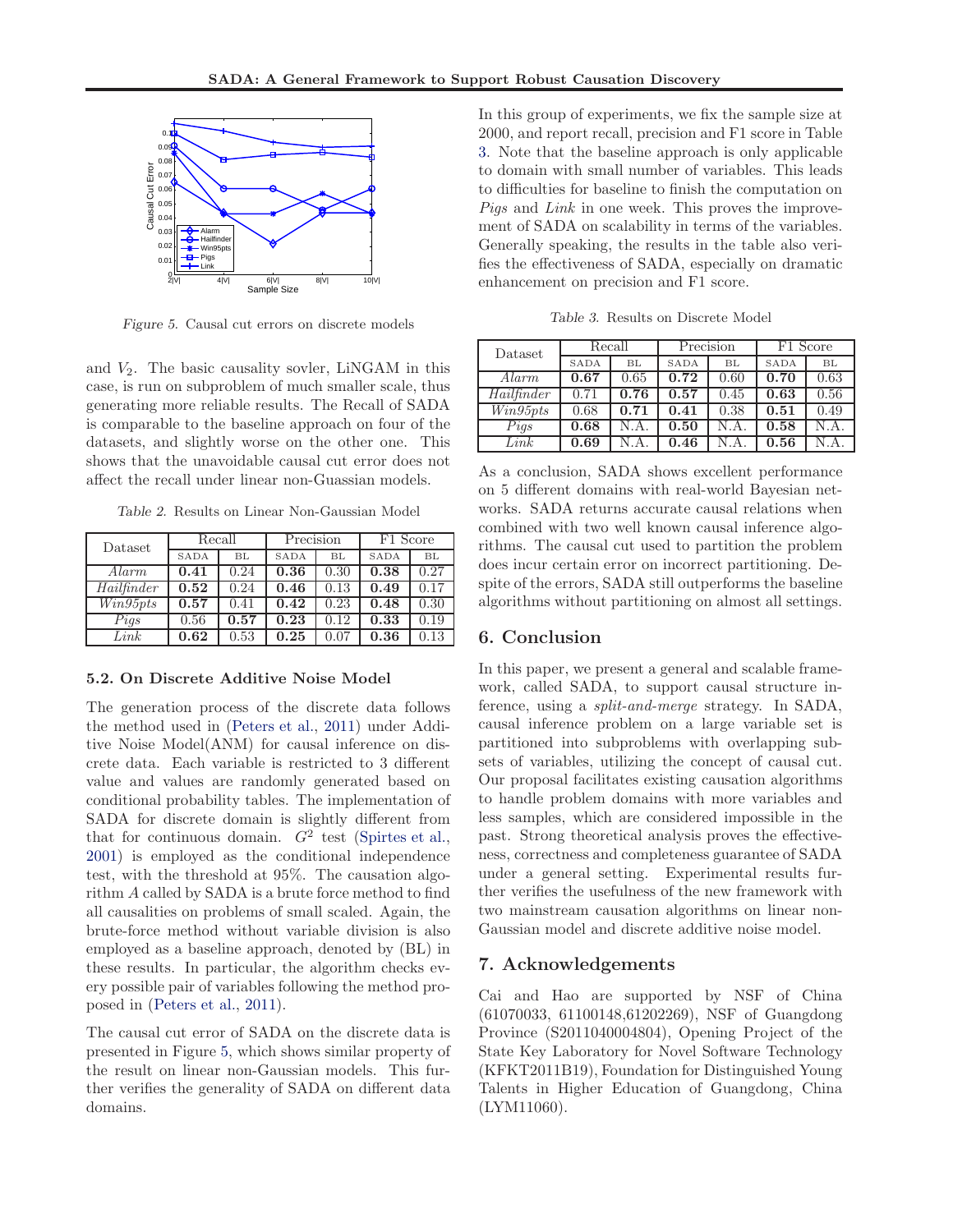<span id="page-7-0"></span>

Figure 5. Causal cut errors on discrete models

and  $V_2$ . The basic causality sovler, LiNGAM in this case, is run on subproblem of much smaller scale, thus generating more reliable results. The Recall of SADA is comparable to the baseline approach on four of the datasets, and slightly worse on the other one. This shows that the unavoidable causal cut error does not affect the recall under linear non-Guassian models.

Table 2. Results on Linear Non-Gaussian Model

| Dataset    | Recall |      | Precision |      | F1 Score    |      |  |
|------------|--------|------|-----------|------|-------------|------|--|
|            | SADA   | BL   | SADA      | BL   | <b>SADA</b> | BL   |  |
| Alarm      | 0.41   | 0.24 | 0.36      | 0.30 | 0.38        | 0.27 |  |
| Hailfinder | 0.52   | 0.24 | 0.46      | 0.13 | 0.49        | 0.17 |  |
| Win95pts   | 0.57   | 0.41 | 0.42      | 0.23 | 0.48        | 0.30 |  |
| Pigs       | 0.56   | 0.57 | 0.23      | 0.12 | 0.33        | 0.19 |  |
| Link       | 0.62   | 0.53 | 0.25      | 0.07 | 0.36        | 0.13 |  |

#### 5.2. On Discrete Additive Noise Model

The generation process of the discrete data follows the method used in [\(Peters et al.,](#page-8-0) [2011](#page-8-0)) under Additive Noise Model(ANM) for causal inference on discrete data. Each variable is restricted to 3 different value and values are randomly generated based on conditional probability tables. The implementation of SADA for discrete domain is slightly different from that for continuous domain.  $G^2$  test [\(Spirtes et al.,](#page-8-0) [2001\)](#page-8-0) is employed as the conditional independence test, with the threshold at 95%. The causation algorithm A called by SADA is a brute force method to find all causalities on problems of small scaled. Again, the brute-force method without variable division is also employed as a baseline approach, denoted by (BL) in these results. In particular, the algorithm checks every possible pair of variables following the method proposed in [\(Peters et al.,](#page-8-0) [2011\)](#page-8-0).

The causal cut error of SADA on the discrete data is presented in Figure 5, which shows similar property of the result on linear non-Gaussian models. This further verifies the generality of SADA on different data domains.

In this group of experiments, we fix the sample size at 2000, and report recall, precision and F1 score in Table 3. Note that the baseline approach is only applicable to domain with small number of variables. This leads to difficulties for baseline to finish the computation on *Pigs* and *Link* in one week. This proves the improvement of SADA on scalability in terms of the variables. Generally speaking, the results in the table also verifies the effectiveness of SADA, especially on dramatic enhancement on precision and F1 score.

Table 3. Results on Discrete Model

| Dataset    | Recall |      | Precision   |      | F1 Score |      |  |
|------------|--------|------|-------------|------|----------|------|--|
|            | SADA   | BL   | <b>SADA</b> | BL   | SADA     | BL   |  |
| Alarm      | 0.67   | 0.65 | 0.72        | 0.60 | 0.70     | 0.63 |  |
| Hailfinder | 0.71   | 0.76 | 0.57        | 0.45 | 0.63     | 0.56 |  |
| Win95pts   | 0.68   | 0.71 | 0.41        | 0.38 | 0.51     | 0.49 |  |
| Pigs       | 0.68   | N.A. | 0.50        | N.A. | 0.58     | N.A. |  |
| Link       | 0.69   | N.A  | 0.46        | N.A. | 0.56     |      |  |

As a conclusion, SADA shows excellent performance on 5 different domains with real-world Bayesian networks. SADA returns accurate causal relations when combined with two well known causal inference algorithms. The causal cut used to partition the problem does incur certain error on incorrect partitioning. Despite of the errors, SADA still outperforms the baseline algorithms without partitioning on almost all settings.

# 6. Conclusion

In this paper, we present a general and scalable framework, called SADA, to support causal structure inference, using a *split-and-merge* strategy. In SADA, causal inference problem on a large variable set is partitioned into subproblems with overlapping subsets of variables, utilizing the concept of causal cut. Our proposal facilitates existing causation algorithms to handle problem domains with more variables and less samples, which are considered impossible in the past. Strong theoretical analysis proves the effectiveness, correctness and completeness guarantee of SADA under a general setting. Experimental results further verifies the usefulness of the new framework with two mainstream causation algorithms on linear non-Gaussian model and discrete additive noise model.

# 7. Acknowledgements

Cai and Hao are supported by NSF of China (61070033, 61100148,61202269), NSF of Guangdong Province (S2011040004804), Opening Project of the State Key Laboratory for Novel Software Technology (KFKT2011B19), Foundation for Distinguished Young Talents in Higher Education of Guangdong, China (LYM11060).